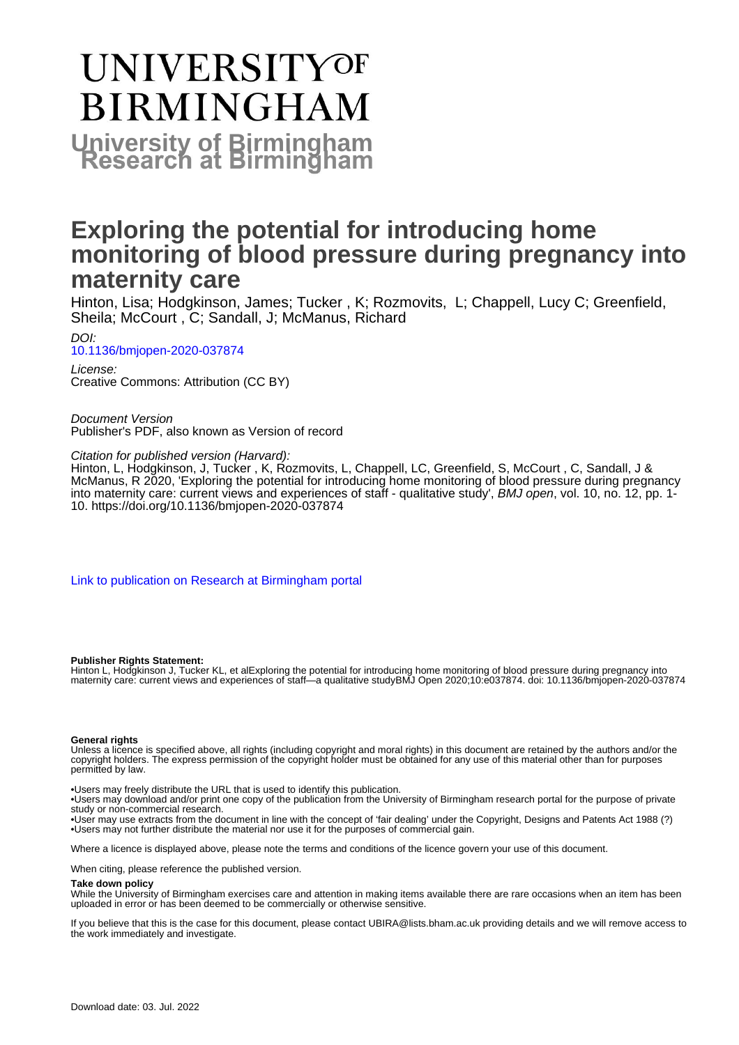# **UNIVERSITYOF BIRMINGHAM University of Birmingham**

### **Exploring the potential for introducing home monitoring of blood pressure during pregnancy into maternity care**

Hinton, Lisa; Hodgkinson, James; Tucker , K; Rozmovits, L; Chappell, Lucy C; Greenfield, Sheila; McCourt , C; Sandall, J; McManus, Richard

DOI: [10.1136/bmjopen-2020-037874](https://doi.org/10.1136/bmjopen-2020-037874)

License: Creative Commons: Attribution (CC BY)

Document Version Publisher's PDF, also known as Version of record

Citation for published version (Harvard):

Hinton, L, Hodgkinson, J, Tucker , K, Rozmovits, L, Chappell, LC, Greenfield, S, McCourt , C, Sandall, J & McManus, R 2020, 'Exploring the potential for introducing home monitoring of blood pressure during pregnancy into maternity care: current views and experiences of staff - qualitative study', BMJ open, vol. 10, no. 12, pp. 1- 10. <https://doi.org/10.1136/bmjopen-2020-037874>

[Link to publication on Research at Birmingham portal](https://birmingham.elsevierpure.com/en/publications/880d81f6-aa35-4c7e-a473-760c0d9ec29b)

#### **Publisher Rights Statement:**

Hinton L, Hodgkinson J, Tucker KL, et alExploring the potential for introducing home monitoring of blood pressure during pregnancy into maternity care: current views and experiences of staff—a qualitative studyBMJ Open 2020;10:e037874. doi: 10.1136/bmjopen-2020-037874

#### **General rights**

Unless a licence is specified above, all rights (including copyright and moral rights) in this document are retained by the authors and/or the copyright holders. The express permission of the copyright holder must be obtained for any use of this material other than for purposes permitted by law.

• Users may freely distribute the URL that is used to identify this publication.

• Users may download and/or print one copy of the publication from the University of Birmingham research portal for the purpose of private study or non-commercial research.

• User may use extracts from the document in line with the concept of 'fair dealing' under the Copyright, Designs and Patents Act 1988 (?) • Users may not further distribute the material nor use it for the purposes of commercial gain.

Where a licence is displayed above, please note the terms and conditions of the licence govern your use of this document.

When citing, please reference the published version.

#### **Take down policy**

While the University of Birmingham exercises care and attention in making items available there are rare occasions when an item has been uploaded in error or has been deemed to be commercially or otherwise sensitive.

If you believe that this is the case for this document, please contact UBIRA@lists.bham.ac.uk providing details and we will remove access to the work immediately and investigate.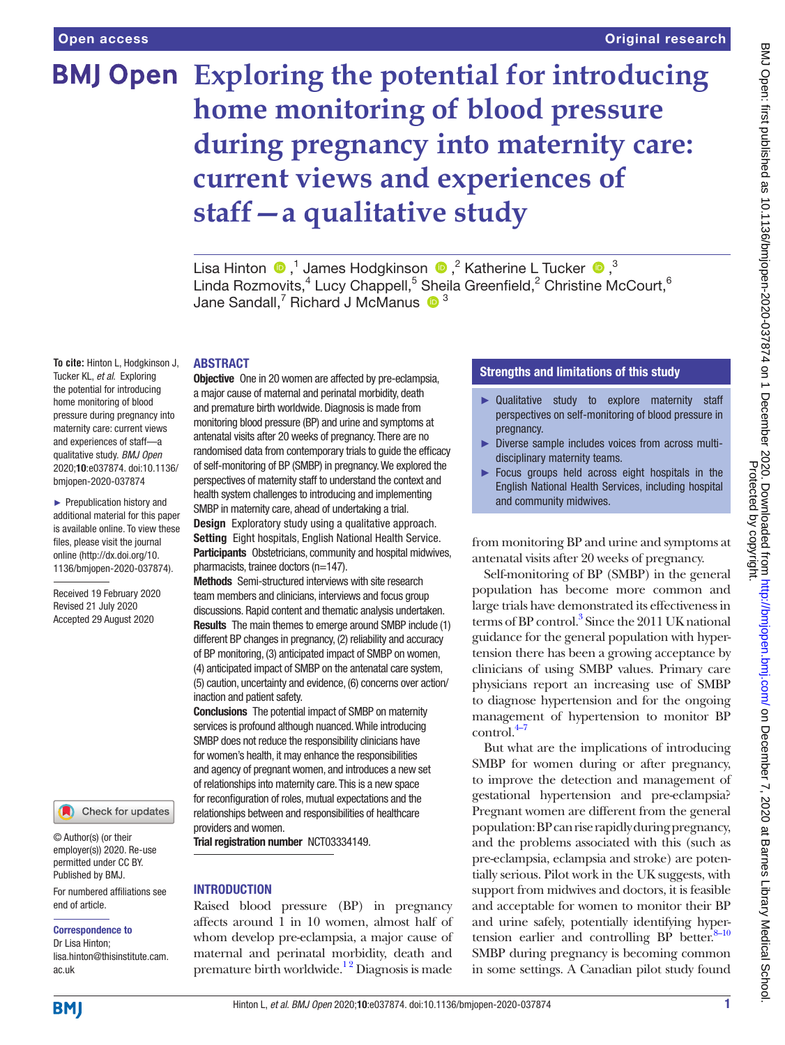## **Exploring the potential for introducing home monitoring of blood pressure during pregnancy into maternity care: current views and experiences of staff—a qualitative study**

LisaHinton  $\bigcirc$  ,<sup>1</sup> James Hodgkinson  $\bigcirc$  ,<sup>2</sup> Katherine L Tucker  $\bigcirc$  ,<sup>3</sup> Linda Rozmovits, $^4$  Lucy Chappell, $^5$  Sheila Greenfield, $^2$  Christine McCourt, $^6$ Jane Sandall,<sup>7</sup> Richard J McManus  $\bullet$ <sup>3</sup>

#### ABSTRACT

**To cite:** Hinton L, Hodgkinson J, Tucker KL, *et al*. Exploring the potential for introducing home monitoring of blood pressure during pregnancy into maternity care: current views and experiences of staff—a qualitative study. *BMJ Open* 2020;10:e037874. doi:10.1136/ bmjopen-2020-037874

► Prepublication history and additional material for this paper is available online. To view these files, please visit the journal online (http://dx.doi.org/10. 1136/bmjopen-2020-037874).

Received 19 February 2020 Revised 21 July 2020 Accepted 29 August 2020

Check for updates

© Author(s) (or their employer(s)) 2020. Re-use permitted under CC BY. Published by BMJ.

For numbered affiliations see end of article.

#### Correspondence to

Dr Lisa Hinton; lisa.hinton@thisinstitute.cam. ac.uk

**Objective** One in 20 women are affected by pre-eclampsia, a major cause of maternal and perinatal morbidity, death and premature birth worldwide. Diagnosis is made from monitoring blood pressure (BP) and urine and symptoms at antenatal visits after 20 weeks of pregnancy. There are no randomised data from contemporary trials to guide the efficacy of self-monitoring of BP (SMBP) in pregnancy. We explored the perspectives of maternity staff to understand the context and health system challenges to introducing and implementing SMBP in maternity care, ahead of undertaking a trial. Design Exploratory study using a qualitative approach. Setting Eight hospitals, English National Health Service. Participants Obstetricians, community and hospital midwives, pharmacists, trainee doctors (n=147).

Methods Semi-structured interviews with site research team members and clinicians, interviews and focus group discussions. Rapid content and thematic analysis undertaken. Results The main themes to emerge around SMBP include (1) different BP changes in pregnancy, (2) reliability and accuracy of BP monitoring, (3) anticipated impact of SMBP on women, (4) anticipated impact of SMBP on the antenatal care system, (5) caution, uncertainty and evidence, (6) concerns over action/ inaction and patient safety.

Conclusions The potential impact of SMBP on maternity services is profound although nuanced. While introducing SMBP does not reduce the responsibility clinicians have for women's health, it may enhance the responsibilities and agency of pregnant women, and introduces a new set of relationships into maternity care. This is a new space for reconfiguration of roles, mutual expectations and the relationships between and responsibilities of healthcare providers and women.

Trial registration number <NCT03334149>.

#### **INTRODUCTION**

Raised blood pressure (BP) in pregnancy affects around 1 in 10 women, almost half of whom develop pre-eclampsia, a major cause of maternal and perinatal morbidity, death and premature birth worldwide.<sup>12</sup> Diagnosis is made

#### Strengths and limitations of this study

- ► Qualitative study to explore maternity staff perspectives on self-monitoring of blood pressure in pregnancy.
- ► Diverse sample includes voices from across multidisciplinary maternity teams.
- ► Focus groups held across eight hospitals in the English National Health Services, including hospital and community midwives.

from monitoring BP and urine and symptoms at antenatal visits after 20 weeks of pregnancy.

Self-monitoring of BP (SMBP) in the general population has become more common and large trials have demonstrated its effectiveness in terms of BP control.<sup>3</sup> Since the 2011 UK national guidance for the general population with hypertension there has been a growing acceptance by clinicians of using SMBP values. Primary care physicians report an increasing use of SMBP to diagnose hypertension and for the ongoing management of hypertension to monitor BP  $control.<sup>4-7</sup>$ 

But what are the implications of introducing SMBP for women during or after pregnancy, to improve the detection and management of gestational hypertension and pre-eclampsia? Pregnant women are different from the general population: BP can rise rapidly during pregnancy, and the problems associated with this (such as pre-eclampsia, eclampsia and stroke) are potentially serious. Pilot work in the UK suggests, with support from midwives and doctors, it is feasible and acceptable for women to monitor their BP and urine safely, potentially identifying hypertension earlier and controlling BP better. $8-10$ SMBP during pregnancy is becoming common in some settings. A Canadian pilot study found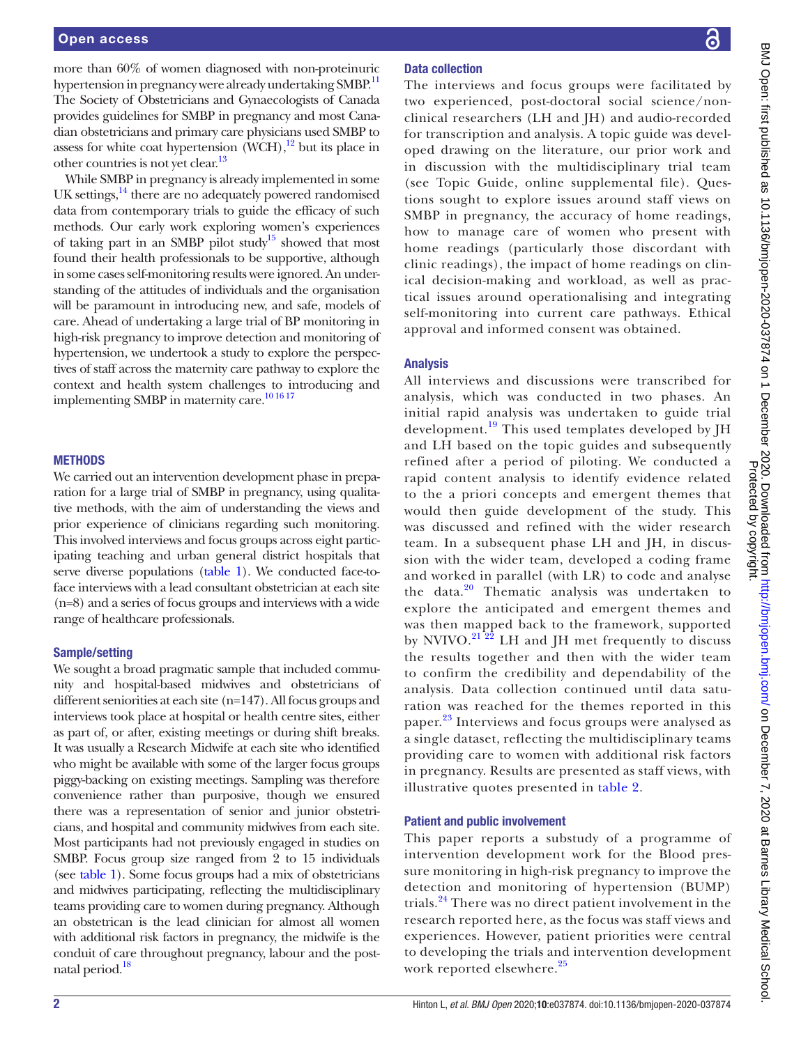more than 60% of women diagnosed with non-proteinuric hypertension in pregnancy were already undertaking SMBP.<sup>[11](#page-9-4)</sup> The Society of Obstetricians and Gynaecologists of Canada provides guidelines for SMBP in pregnancy and most Canadian obstetricians and primary care physicians used SMBP to assess for white coat hypertension  $(WCH)$ ,<sup>12</sup> but its place in other countries is not yet clear.<sup>[13](#page-9-6)</sup>

While SMBP in pregnancy is already implemented in some UK settings, $14$  there are no adequately powered randomised data from contemporary trials to guide the efficacy of such methods. Our early work exploring women's experiences of taking part in an SMBP pilot study<sup>15</sup> showed that most found their health professionals to be supportive, although in some cases self-monitoring results were ignored. An understanding of the attitudes of individuals and the organisation will be paramount in introducing new, and safe, models of care. Ahead of undertaking a large trial of BP monitoring in high-risk pregnancy to improve detection and monitoring of hypertension, we undertook a study to explore the perspectives of staff across the maternity care pathway to explore the context and health system challenges to introducing and implementing SMBP in maternity care.<sup>10 16 17</sup>

#### **METHODS**

We carried out an intervention development phase in preparation for a large trial of SMBP in pregnancy, using qualitative methods, with the aim of understanding the views and prior experience of clinicians regarding such monitoring. This involved interviews and focus groups across eight participating teaching and urban general district hospitals that serve diverse populations [\(table](#page-3-0) 1). We conducted face-toface interviews with a lead consultant obstetrician at each site (n=8) and a series of focus groups and interviews with a wide range of healthcare professionals.

#### Sample/setting

We sought a broad pragmatic sample that included community and hospital-based midwives and obstetricians of different seniorities at each site (n=147). All focus groups and interviews took place at hospital or health centre sites, either as part of, or after, existing meetings or during shift breaks. It was usually a Research Midwife at each site who identified who might be available with some of the larger focus groups piggy-backing on existing meetings. Sampling was therefore convenience rather than purposive, though we ensured there was a representation of senior and junior obstetricians, and hospital and community midwives from each site. Most participants had not previously engaged in studies on SMBP. Focus group size ranged from 2 to 15 individuals (see [table](#page-3-0) 1). Some focus groups had a mix of obstetricians and midwives participating, reflecting the multidisciplinary teams providing care to women during pregnancy. Although an obstetrican is the lead clinician for almost all women with additional risk factors in pregnancy, the midwife is the conduit of care throughout pregnancy, labour and the postnatal period.<sup>18</sup>

#### Data collection

The interviews and focus groups were facilitated by two experienced, post-doctoral social science/nonclinical researchers (LH and JH) and audio-recorded for transcription and analysis. A topic guide was developed drawing on the literature, our prior work and in discussion with the multidisciplinary trial team (see Topic Guide, [online supplemental file](https://dx.doi.org/10.1136/bmjopen-2020-037874)). Questions sought to explore issues around staff views on SMBP in pregnancy, the accuracy of home readings, how to manage care of women who present with home readings (particularly those discordant with clinic readings), the impact of home readings on clinical decision-making and workload, as well as practical issues around operationalising and integrating self-monitoring into current care pathways. Ethical approval and informed consent was obtained.

#### Analysis

All interviews and discussions were transcribed for analysis, which was conducted in two phases. An initial rapid analysis was undertaken to guide trial development.<sup>19</sup> This used templates developed by JH and LH based on the topic guides and subsequently refined after a period of piloting. We conducted a rapid content analysis to identify evidence related to the a priori concepts and emergent themes that would then guide development of the study. This was discussed and refined with the wider research team. In a subsequent phase LH and JH, in discussion with the wider team, developed a coding frame and worked in parallel (with LR) to code and analyse the data.<sup>20</sup> Thematic analysis was undertaken to explore the anticipated and emergent themes and was then mapped back to the framework, supported by NVIVO.<sup>[21 22](#page-9-13)</sup> LH and JH met frequently to discuss the results together and then with the wider team to confirm the credibility and dependability of the analysis. Data collection continued until data saturation was reached for the themes reported in this paper.<sup>[23](#page-9-14)</sup> Interviews and focus groups were analysed as a single dataset, reflecting the multidisciplinary teams providing care to women with additional risk factors in pregnancy. Results are presented as staff views, with illustrative quotes presented in [table](#page-4-0) 2.

#### Patient and public involvement

This paper reports a substudy of a programme of intervention development work for the Blood pressure monitoring in high-risk pregnancy to improve the detection and monitoring of hypertension (BUMP) trials.<sup>24</sup> There was no direct patient involvement in the research reported here, as the focus was staff views and experiences. However, patient priorities were central to developing the trials and intervention development work reported elsewhere.<sup>[25](#page-9-16)</sup>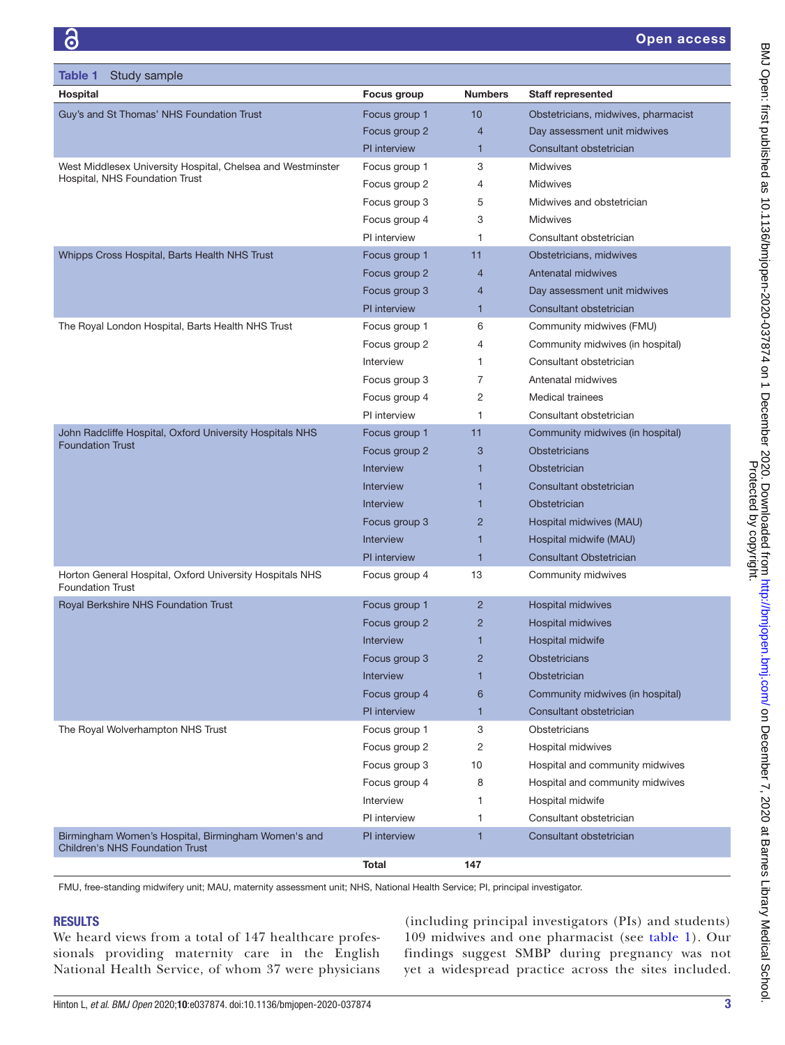<span id="page-3-0"></span>

| Table 1<br>Study sample                                                                       |                     |                |                                     |
|-----------------------------------------------------------------------------------------------|---------------------|----------------|-------------------------------------|
| Hospital                                                                                      | <b>Focus group</b>  | <b>Numbers</b> | <b>Staff represented</b>            |
| Guy's and St Thomas' NHS Foundation Trust                                                     | Focus group 1       | 10             | Obstetricians, midwives, pharmacist |
|                                                                                               | Focus group 2       | 4              | Day assessment unit midwives        |
|                                                                                               | <b>PI</b> interview | 1              | Consultant obstetrician             |
| West Middlesex University Hospital, Chelsea and Westminster<br>Hospital, NHS Foundation Trust | Focus group 1       | 3              | <b>Midwives</b>                     |
|                                                                                               | Focus group 2       | 4              | <b>Midwives</b>                     |
|                                                                                               | Focus group 3       | 5              | Midwives and obstetrician           |
|                                                                                               | Focus group 4       | 3              | <b>Midwives</b>                     |
|                                                                                               | PI interview        | 1              | Consultant obstetrician             |
| Whipps Cross Hospital, Barts Health NHS Trust                                                 | Focus group 1       | 11             | Obstetricians, midwives             |
|                                                                                               | Focus group 2       | $\overline{4}$ | <b>Antenatal midwives</b>           |
|                                                                                               | Focus group 3       | 4              | Day assessment unit midwives        |
|                                                                                               | PI interview        | 1              | Consultant obstetrician             |
| The Royal London Hospital, Barts Health NHS Trust                                             | Focus group 1       | 6              | Community midwives (FMU)            |
|                                                                                               | Focus group 2       | 4              | Community midwives (in hospital)    |
|                                                                                               | Interview           | 1              | Consultant obstetrician             |
|                                                                                               | Focus group 3       | 7              | Antenatal midwives                  |
|                                                                                               | Focus group 4       | 2              | <b>Medical trainees</b>             |
|                                                                                               | PI interview        | 1              | Consultant obstetrician             |
| John Radcliffe Hospital, Oxford University Hospitals NHS                                      | Focus group 1       | 11             | Community midwives (in hospital)    |
| <b>Foundation Trust</b>                                                                       | Focus group 2       | 3              | <b>Obstetricians</b>                |
|                                                                                               | <b>Interview</b>    | 1              | <b>Obstetrician</b>                 |
|                                                                                               | <b>Interview</b>    | 1              | Consultant obstetrician             |
|                                                                                               | <b>Interview</b>    | 1              | Obstetrician                        |
|                                                                                               | Focus group 3       | $\overline{2}$ | Hospital midwives (MAU)             |
|                                                                                               | <b>Interview</b>    | 1              | Hospital midwife (MAU)              |
|                                                                                               | PI interview        | 1              | <b>Consultant Obstetrician</b>      |
| Horton General Hospital, Oxford University Hospitals NHS<br><b>Foundation Trust</b>           | Focus group 4       | 13             | Community midwives                  |
| Royal Berkshire NHS Foundation Trust                                                          | Focus group 1       | $\overline{2}$ | Hospital midwives                   |
|                                                                                               | Focus group 2       | $\overline{2}$ | Hospital midwives                   |
|                                                                                               | Interview           | 1              | Hospital midwife                    |
|                                                                                               | Focus group 3       | $\overline{2}$ | Obstetricians                       |
|                                                                                               | Interview           | 1              | Obstetrician                        |
|                                                                                               | Focus group 4       | 6              | Community midwives (in hospital)    |
|                                                                                               | PI interview        | 1              | Consultant obstetrician             |
| The Royal Wolverhampton NHS Trust                                                             | Focus group 1       | 3              | Obstetricians                       |
|                                                                                               | Focus group 2       | 2              | Hospital midwives                   |
|                                                                                               | Focus group 3       | 10             | Hospital and community midwives     |
|                                                                                               | Focus group 4       | 8              | Hospital and community midwives     |
|                                                                                               | Interview           | 1              | Hospital midwife                    |
|                                                                                               | PI interview        | 1              | Consultant obstetrician             |
| Birmingham Women's Hospital, Birmingham Women's and<br><b>Children's NHS Foundation Trust</b> | PI interview        | 1              | Consultant obstetrician             |
|                                                                                               | Total               | 147            |                                     |

FMU, free-standing midwifery unit; MAU, maternity assessment unit; NHS, National Health Service; PI, principal investigator.

#### **RESULTS**

We heard views from a total of 147 healthcare professionals providing maternity care in the English National Health Service, of whom 37 were physicians

(including principal investigators (PIs) and students) 109 midwives and one pharmacist (see [table](#page-3-0) 1). Our findings suggest SMBP during pregnancy was not yet a widespread practice across the sites included.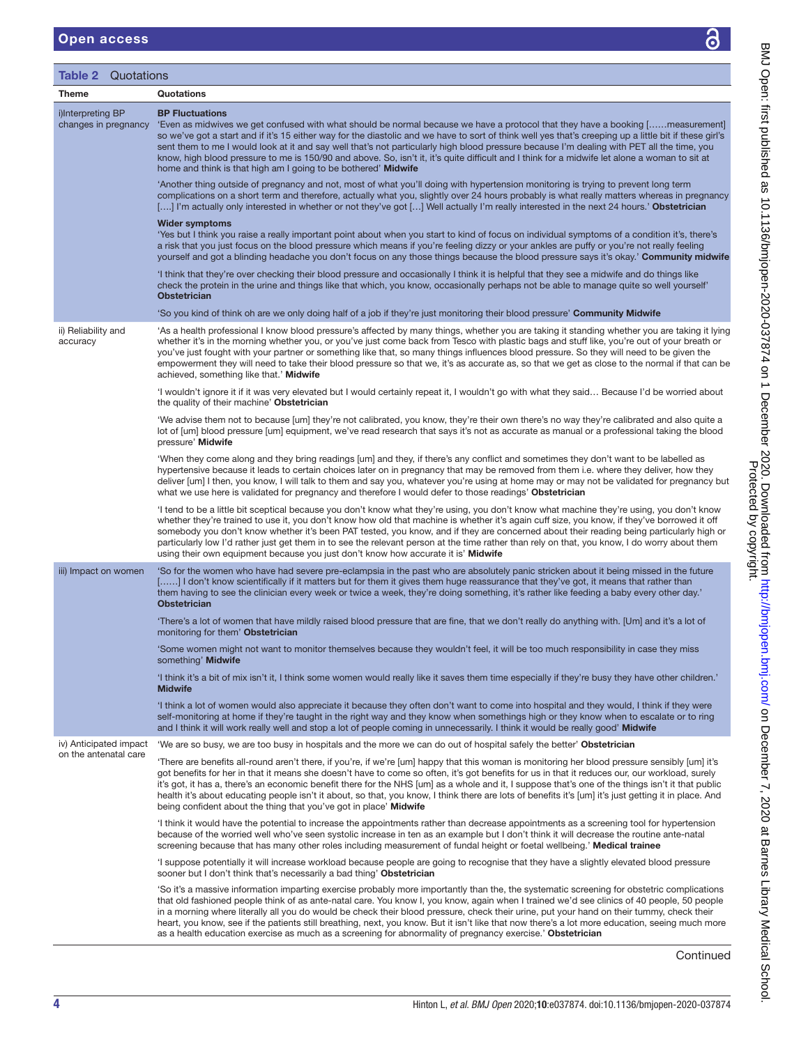<span id="page-4-0"></span>

| <b>Open access</b>                        | ෬                                                                                                                                                                                                                                                                                                                                                                                                                                                                                                                                                                                                                                                                                   |
|-------------------------------------------|-------------------------------------------------------------------------------------------------------------------------------------------------------------------------------------------------------------------------------------------------------------------------------------------------------------------------------------------------------------------------------------------------------------------------------------------------------------------------------------------------------------------------------------------------------------------------------------------------------------------------------------------------------------------------------------|
| Quotations<br>Table 2                     |                                                                                                                                                                                                                                                                                                                                                                                                                                                                                                                                                                                                                                                                                     |
| <b>Theme</b>                              | Quotations                                                                                                                                                                                                                                                                                                                                                                                                                                                                                                                                                                                                                                                                          |
| i)Interpreting BP<br>changes in pregnancy | <b>BP Fluctuations</b><br>'Even as midwives we get confused with what should be normal because we have a protocol that they have a booking [measurement]<br>so we've got a start and if it's 15 either way for the diastolic and we have to sort of think well yes that's creeping up a little bit if these girl's<br>sent them to me I would look at it and say well that's not particularly high blood pressure because I'm dealing with PET all the time, you<br>know, high blood pressure to me is 150/90 and above. So, isn't it, it's quite difficult and I think for a midwife let alone a woman to sit at<br>home and think is that high am I going to be bothered' Midwife |
|                                           | 'Another thing outside of pregnancy and not, most of what you'll doing with hypertension monitoring is trying to prevent long term<br>complications on a short term and therefore, actually what you, slightly over 24 hours probably is what really matters whereas in pregnancy<br>[] I'm actually only interested in whether or not they've got [] Well actually I'm really interested in the next 24 hours.' Obstetrician                                                                                                                                                                                                                                                       |
|                                           | <b>Wider symptoms</b><br>'Yes but I think you raise a really important point about when you start to kind of focus on individual symptoms of a condition it's, there's<br>a risk that you just focus on the blood pressure which means if you're feeling dizzy or your ankles are puffy or you're not really feeling<br>yourself and got a blinding headache you don't focus on any those things because the blood pressure says it's okay.' Community midwife                                                                                                                                                                                                                      |
|                                           | 'I think that they're over checking their blood pressure and occasionally I think it is helpful that they see a midwife and do things like<br>check the protein in the urine and things like that which, you know, occasionally perhaps not be able to manage quite so well yourself'<br><b>Obstetrician</b>                                                                                                                                                                                                                                                                                                                                                                        |
|                                           | 'So you kind of think oh are we only doing half of a job if they're just monitoring their blood pressure' Community Midwife                                                                                                                                                                                                                                                                                                                                                                                                                                                                                                                                                         |
| ii) Reliability and<br>accuracy           | 'As a health professional I know blood pressure's affected by many things, whether you are taking it standing whether you are taking it lying<br>whether it's in the morning whether you, or you've just come back from Tesco with plastic bags and stuff like, you're out of your breath or<br>you've just fought with your partner or something like that, so many things influences blood pressure. So they will need to be given the<br>empowerment they will need to take their blood pressure so that we, it's as accurate as, so that we get as close to the normal if that can be<br>achieved, something like that.' Midwife                                                |
|                                           | 'I wouldn't ignore it if it was very elevated but I would certainly repeat it, I wouldn't go with what they said Because I'd be worried about<br>the quality of their machine' Obstetrician                                                                                                                                                                                                                                                                                                                                                                                                                                                                                         |
|                                           | 'We advise them not to because [um] they're not calibrated, you know, they're their own there's no way they're calibrated and also quite a<br>lot of [um] blood pressure [um] equipment, we've read research that says it's not as accurate as manual or a professional taking the blood<br>pressure' Midwife                                                                                                                                                                                                                                                                                                                                                                       |

'When they come along and they bring readings [um] and they, if there's any conflict and sometimes they don't want to be labelled as hypertensive because it leads to certain choices later on in pregnancy that may be removed from them i.e. where they deliver, how they deliver [um] I then, you know, I will talk to them and say you, whatever you're using at home may or may not be validated for pregnancy but what we use here is validated for pregnancy and therefore I would defer to those readings' Obstetrician

'I tend to be a little bit sceptical because you don't know what they're using, you don't know what machine they're using, you don't know whether they're trained to use it, you don't know how old that machine is whether it's again cuff size, you know, if they've borrowed it off somebody you don't know whether it's been PAT tested, you know, and if they are concerned about their reading being particularly high or particularly low I'd rather just get them in to see the relevant person at the time rather than rely on that, you know, I do worry about them using their own equipment because you just don't know how accurate it is' Midwife

iii) Impact on women 'So for the women who have had severe pre-eclampsia in the past who are absolutely panic stricken about it being missed in the future [......] I don't know scientifically if it matters but for them it gives them huge reassurance that they've got, it means that rather than them having to see the clinician every week or twice a week, they're doing something, it's rather like feeding a baby every other day.' **Obstetrician** 

'There's a lot of women that have mildly raised blood pressure that are fine, that we don't really do anything with. [Um] and it's a lot of monitoring for them' Obstetrician

'Some women might not want to monitor themselves because they wouldn't feel, it will be too much responsibility in case they miss something' Midwife

'I think it's a bit of mix isn't it, I think some women would really like it saves them time especially if they're busy they have other children.' **Midwife** 

'I think a lot of women would also appreciate it because they often don't want to come into hospital and they would, I think if they were self-monitoring at home if they're taught in the right way and they know when somethings high or they know when to escalate or to ring and I think it will work really well and stop a lot of people coming in unnecessarily. I think it would be really good' Midwife

on the antenatal care

iv) Anticipated impact are so busy, we are too busy in hospitals and the more we can do out of hospital safely the better' Obstetrician

> 'There are benefits all-round aren't there, if you're, if we're [um] happy that this woman is monitoring her blood pressure sensibly [um] it's got benefits for her in that it means she doesn't have to come so often, it's got benefits for us in that it reduces our, our workload, surely it's got, it has a, there's an economic benefit there for the NHS [um] as a whole and it, I suppose that's one of the things isn't it that public health it's about educating people isn't it about, so that, you know, I think there are lots of benefits it's [um] it's just getting it in place. And being confident about the thing that you've got in place' Midwife

'I think it would have the potential to increase the appointments rather than decrease appointments as a screening tool for hypertension because of the worried well who've seen systolic increase in ten as an example but I don't think it will decrease the routine ante-natal screening because that has many other roles including measurement of fundal height or foetal wellbeing.' Medical trainee

'I suppose potentially it will increase workload because people are going to recognise that they have a slightly elevated blood pressure sooner but I don't think that's necessarily a bad thing' Obstetrician

'So it's a massive information imparting exercise probably more importantly than the, the systematic screening for obstetric complications that old fashioned people think of as ante-natal care. You know I, you know, again when I trained we'd see clinics of 40 people, 50 people in a morning where literally all you do would be check their blood pressure, check their urine, put your hand on their tummy, check their heart, you know, see if the patients still breathing, next, you know. But it isn't like that now there's a lot more education, seeing much more as a health education exercise as much as a screening for abnormality of pregnancy exercise.' Obstetrician

**Continued**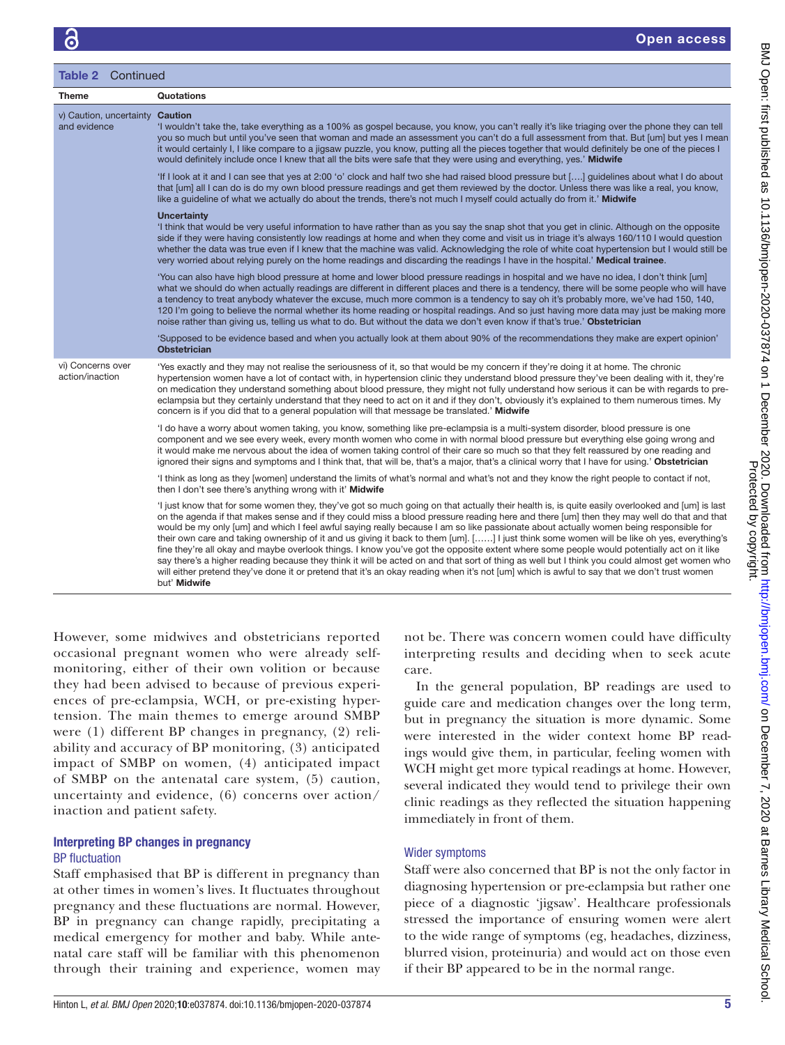| <b>Table 2 Continued</b>                        |                                                                                                                                                                                                                                                                                                                                                                                                                                                                                                                                                                                                                                                                                                                                                                                                                                                                                                                                                                                                                                                 |  |
|-------------------------------------------------|-------------------------------------------------------------------------------------------------------------------------------------------------------------------------------------------------------------------------------------------------------------------------------------------------------------------------------------------------------------------------------------------------------------------------------------------------------------------------------------------------------------------------------------------------------------------------------------------------------------------------------------------------------------------------------------------------------------------------------------------------------------------------------------------------------------------------------------------------------------------------------------------------------------------------------------------------------------------------------------------------------------------------------------------------|--|
| <b>Theme</b>                                    | <b>Quotations</b>                                                                                                                                                                                                                                                                                                                                                                                                                                                                                                                                                                                                                                                                                                                                                                                                                                                                                                                                                                                                                               |  |
| v) Caution, uncertainty Caution<br>and evidence | 'I wouldn't take the, take everything as a 100% as gospel because, you know, you can't really it's like triaging over the phone they can tell<br>you so much but until you've seen that woman and made an assessment you can't do a full assessment from that. But [um] but yes I mean<br>it would certainly I, I like compare to a jigsaw puzzle, you know, putting all the pieces together that would definitely be one of the pieces I<br>would definitely include once I knew that all the bits were safe that they were using and everything, yes.' Midwife                                                                                                                                                                                                                                                                                                                                                                                                                                                                                |  |
|                                                 | 'If I look at it and I can see that yes at 2:00 'o' clock and half two she had raised blood pressure but [] quidelines about what I do about<br>that [um] all I can do is do my own blood pressure readings and get them reviewed by the doctor. Unless there was like a real, you know,<br>like a guideline of what we actually do about the trends, there's not much I myself could actually do from it.' Midwife                                                                                                                                                                                                                                                                                                                                                                                                                                                                                                                                                                                                                             |  |
|                                                 | <b>Uncertainty</b><br>I think that would be very useful information to have rather than as you say the snap shot that you get in clinic. Although on the opposite<br>side if they were having consistently low readings at home and when they come and visit us in triage it's always 160/110 I would question<br>whether the data was true even if I knew that the machine was valid. Acknowledging the role of white coat hypertension but I would still be<br>very worried about relying purely on the home readings and discarding the readings I have in the hospital.' Medical trainee.                                                                                                                                                                                                                                                                                                                                                                                                                                                   |  |
|                                                 | 'You can also have high blood pressure at home and lower blood pressure readings in hospital and we have no idea, I don't think [um]<br>what we should do when actually readings are different in different places and there is a tendency, there will be some people who will have<br>a tendency to treat anybody whatever the excuse, much more common is a tendency to say oh it's probably more, we've had 150, 140,<br>120 I'm going to believe the normal whether its home reading or hospital readings. And so just having more data may just be making more<br>noise rather than giving us, telling us what to do. But without the data we don't even know if that's true.' Obstetrician                                                                                                                                                                                                                                                                                                                                                |  |
|                                                 | 'Supposed to be evidence based and when you actually look at them about 90% of the recommendations they make are expert opinion'<br><b>Obstetrician</b>                                                                                                                                                                                                                                                                                                                                                                                                                                                                                                                                                                                                                                                                                                                                                                                                                                                                                         |  |
| vi) Concerns over<br>action/inaction            | 'Yes exactly and they may not realise the seriousness of it, so that would be my concern if they're doing it at home. The chronic<br>hypertension women have a lot of contact with, in hypertension clinic they understand blood pressure they've been dealing with it, they're<br>on medication they understand something about blood pressure, they might not fully understand how serious it can be with regards to pre-<br>eclampsia but they certainly understand that they need to act on it and if they don't, obviously it's explained to them numerous times. My<br>concern is if you did that to a general population will that message be translated.' Midwife                                                                                                                                                                                                                                                                                                                                                                       |  |
|                                                 | 'I do have a worry about women taking, you know, something like pre-eclampsia is a multi-system disorder, blood pressure is one<br>component and we see every week, every month women who come in with normal blood pressure but everything else going wrong and<br>it would make me nervous about the idea of women taking control of their care so much so that they felt reassured by one reading and<br>ignored their signs and symptoms and I think that, that will be, that's a major, that's a clinical worry that I have for using.' Obstetrician                                                                                                                                                                                                                                                                                                                                                                                                                                                                                       |  |
|                                                 | 'I think as long as they [women] understand the limits of what's normal and what's not and they know the right people to contact if not,<br>then I don't see there's anything wrong with it' Midwife                                                                                                                                                                                                                                                                                                                                                                                                                                                                                                                                                                                                                                                                                                                                                                                                                                            |  |
|                                                 | 'I just know that for some women they, they've got so much going on that actually their health is, is quite easily overlooked and [um] is last<br>on the agenda if that makes sense and if they could miss a blood pressure reading here and there [um] then they may well do that and that<br>would be my only [um] and which I feel awful saying really because I am so like passionate about actually women being responsible for<br>their own care and taking ownership of it and us giving it back to them [um]. [] I just think some women will be like oh yes, everything's<br>fine they're all okay and maybe overlook things. I know you've got the opposite extent where some people would potentially act on it like<br>say there's a higher reading because they think it will be acted on and that sort of thing as well but I think you could almost get women who<br>will either pretend they've done it or pretend that it's an okay reading when it's not [um] which is awful to say that we don't trust women<br>but' Midwife |  |

However, some midwives and obstetricians reported occasional pregnant women who were already selfmonitoring, either of their own volition or because they had been advised to because of previous experiences of pre-eclampsia, WCH, or pre-existing hypertension. The main themes to emerge around SMBP were (1) different BP changes in pregnancy, (2) reliability and accuracy of BP monitoring, (3) anticipated impact of SMBP on women, (4) anticipated impact of SMBP on the antenatal care system, (5) caution, uncertainty and evidence, (6) concerns over action/ inaction and patient safety.

#### Interpreting BP changes in pregnancy BP fluctuation

Staff emphasised that BP is different in pregnancy than at other times in women's lives. It fluctuates throughout pregnancy and these fluctuations are normal. However, BP in pregnancy can change rapidly, precipitating a medical emergency for mother and baby. While antenatal care staff will be familiar with this phenomenon through their training and experience, women may not be. There was concern women could have difficulty interpreting results and deciding when to seek acute care.

In the general population, BP readings are used to guide care and medication changes over the long term, but in pregnancy the situation is more dynamic. Some were interested in the wider context home BP readings would give them, in particular, feeling women with WCH might get more typical readings at home. However, several indicated they would tend to privilege their own clinic readings as they reflected the situation happening immediately in front of them.

#### Wider symptoms

Staff were also concerned that BP is not the only factor in diagnosing hypertension or pre-eclampsia but rather one piece of a diagnostic 'jigsaw'. Healthcare professionals stressed the importance of ensuring women were alert to the wide range of symptoms (eg, headaches, dizziness, blurred vision, proteinuria) and would act on those even if their BP appeared to be in the normal range.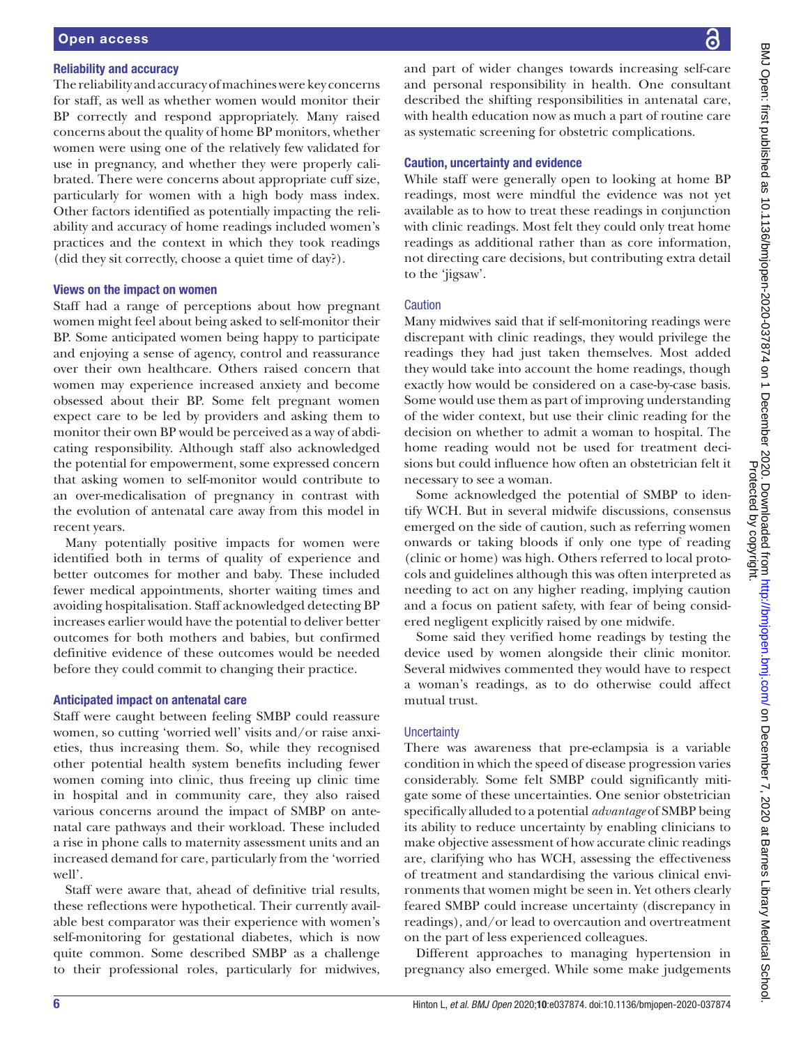#### Reliability and accuracy

The reliability and accuracy of machines were key concerns for staff, as well as whether women would monitor their BP correctly and respond appropriately. Many raised concerns about the quality of home BP monitors, whether women were using one of the relatively few validated for use in pregnancy, and whether they were properly calibrated. There were concerns about appropriate cuff size, particularly for women with a high body mass index. Other factors identified as potentially impacting the reliability and accuracy of home readings included women's practices and the context in which they took readings (did they sit correctly, choose a quiet time of day?).

#### Views on the impact on women

Staff had a range of perceptions about how pregnant women might feel about being asked to self-monitor their BP. Some anticipated women being happy to participate and enjoying a sense of agency, control and reassurance over their own healthcare. Others raised concern that women may experience increased anxiety and become obsessed about their BP. Some felt pregnant women expect care to be led by providers and asking them to monitor their own BP would be perceived as a way of abdicating responsibility. Although staff also acknowledged the potential for empowerment, some expressed concern that asking women to self-monitor would contribute to an over-medicalisation of pregnancy in contrast with the evolution of antenatal care away from this model in recent years.

Many potentially positive impacts for women were identified both in terms of quality of experience and better outcomes for mother and baby. These included fewer medical appointments, shorter waiting times and avoiding hospitalisation. Staff acknowledged detecting BP increases earlier would have the potential to deliver better outcomes for both mothers and babies, but confirmed definitive evidence of these outcomes would be needed before they could commit to changing their practice.

#### Anticipated impact on antenatal care

Staff were caught between feeling SMBP could reassure women, so cutting 'worried well' visits and/or raise anxieties, thus increasing them. So, while they recognised other potential health system benefits including fewer women coming into clinic, thus freeing up clinic time in hospital and in community care, they also raised various concerns around the impact of SMBP on antenatal care pathways and their workload. These included a rise in phone calls to maternity assessment units and an increased demand for care, particularly from the 'worried well'.

Staff were aware that, ahead of definitive trial results, these reflections were hypothetical. Their currently available best comparator was their experience with women's self-monitoring for gestational diabetes, which is now quite common. Some described SMBP as a challenge to their professional roles, particularly for midwives,

and part of wider changes towards increasing self-care and personal responsibility in health. One consultant described the shifting responsibilities in antenatal care, with health education now as much a part of routine care as systematic screening for obstetric complications.

#### Caution, uncertainty and evidence

While staff were generally open to looking at home BP readings, most were mindful the evidence was not yet available as to how to treat these readings in conjunction with clinic readings. Most felt they could only treat home readings as additional rather than as core information, not directing care decisions, but contributing extra detail to the 'jigsaw'.

#### **Caution**

Many midwives said that if self-monitoring readings were discrepant with clinic readings, they would privilege the readings they had just taken themselves. Most added they would take into account the home readings, though exactly how would be considered on a case-by-case basis. Some would use them as part of improving understanding of the wider context, but use their clinic reading for the decision on whether to admit a woman to hospital. The home reading would not be used for treatment decisions but could influence how often an obstetrician felt it necessary to see a woman.

Some acknowledged the potential of SMBP to identify WCH. But in several midwife discussions, consensus emerged on the side of caution, such as referring women onwards or taking bloods if only one type of reading (clinic or home) was high. Others referred to local protocols and guidelines although this was often interpreted as needing to act on any higher reading, implying caution and a focus on patient safety, with fear of being considered negligent explicitly raised by one midwife.

Some said they verified home readings by testing the device used by women alongside their clinic monitor. Several midwives commented they would have to respect a woman's readings, as to do otherwise could affect mutual trust.

#### **Uncertainty**

There was awareness that pre-eclampsia is a variable condition in which the speed of disease progression varies considerably. Some felt SMBP could significantly mitigate some of these uncertainties. One senior obstetrician specifically alluded to a potential *advantage* of SMBP being its ability to reduce uncertainty by enabling clinicians to make objective assessment of how accurate clinic readings are, clarifying who has WCH, assessing the effectiveness of treatment and standardising the various clinical environments that women might be seen in. Yet others clearly feared SMBP could increase uncertainty (discrepancy in readings), and/or lead to overcaution and overtreatment on the part of less experienced colleagues.

Different approaches to managing hypertension in pregnancy also emerged. While some make judgements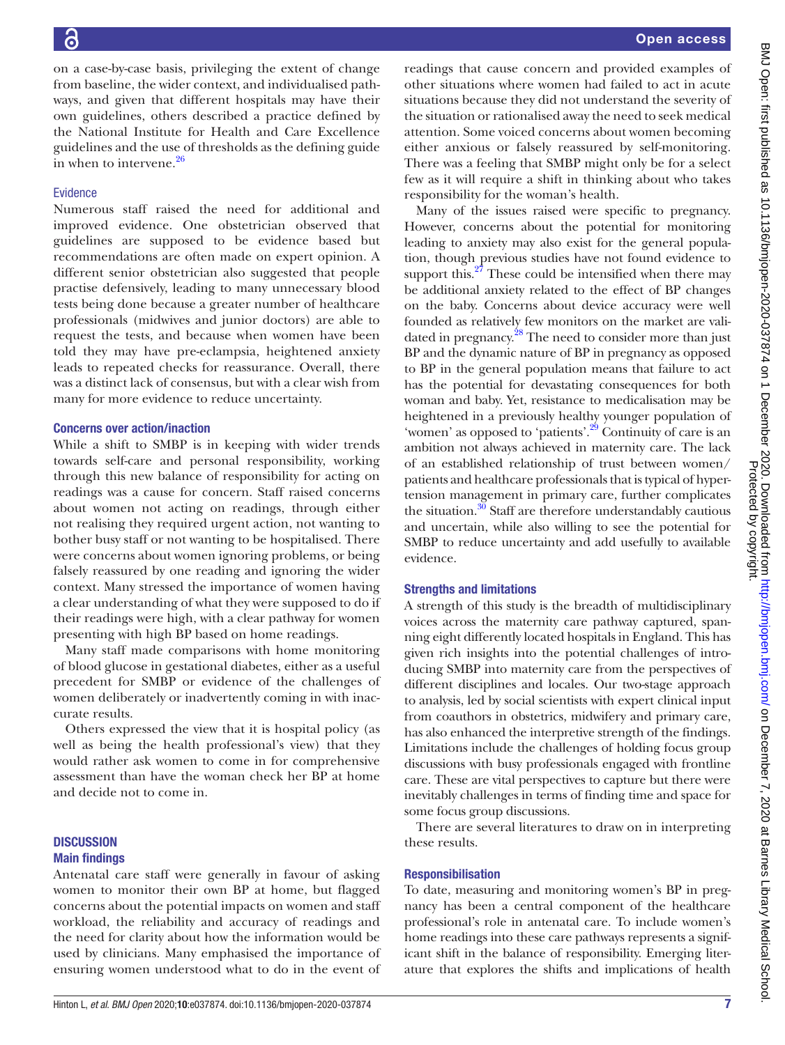Evidence

in when to intervene. $26$ 

from baseline, the wider context, and individualised pathways, and given that different hospitals may have their own guidelines, others described a practice defined by the National Institute for Health and Care Excellence guidelines and the use of thresholds as the defining guide Numerous staff raised the need for additional and improved evidence. One obstetrician observed that guidelines are supposed to be evidence based but recommendations are often made on expert opinion. A different senior obstetrician also suggested that people practise defensively, leading to many unnecessary blood tests being done because a greater number of healthcare professionals (midwives and junior doctors) are able to request the tests, and because when women have been told they may have pre-eclampsia, heightened anxiety leads to repeated checks for reassurance. Overall, there was a distinct lack of consensus, but with a clear wish from many for more evidence to reduce uncertainty. Concerns over action/inaction While a shift to SMBP is in keeping with wider trends

towards self-care and personal responsibility, working through this new balance of responsibility for acting on readings was a cause for concern. Staff raised concerns about women not acting on readings, through either not realising they required urgent action, not wanting to bother busy staff or not wanting to be hospitalised. There were concerns about women ignoring problems, or being falsely reassured by one reading and ignoring the wider context. Many stressed the importance of women having a clear understanding of what they were supposed to do if their readings were high, with a clear pathway for women presenting with high BP based on home readings.

on a case-by-case basis, privileging the extent of change

Many staff made comparisons with home monitoring of blood glucose in gestational diabetes, either as a useful precedent for SMBP or evidence of the challenges of women deliberately or inadvertently coming in with inaccurate results.

Others expressed the view that it is hospital policy (as well as being the health professional's view) that they would rather ask women to come in for comprehensive assessment than have the woman check her BP at home and decide not to come in.

#### **DISCUSSION** Main findings

Antenatal care staff were generally in favour of asking women to monitor their own BP at home, but flagged concerns about the potential impacts on women and staff workload, the reliability and accuracy of readings and the need for clarity about how the information would be used by clinicians. Many emphasised the importance of ensuring women understood what to do in the event of

readings that cause concern and provided examples of other situations where women had failed to act in acute situations because they did not understand the severity of the situation or rationalised away the need to seek medical attention. Some voiced concerns about women becoming either anxious or falsely reassured by self-monitoring. There was a feeling that SMBP might only be for a select few as it will require a shift in thinking about who takes responsibility for the woman's health.

Many of the issues raised were specific to pregnancy. However, concerns about the potential for monitoring leading to anxiety may also exist for the general population, though previous studies have not found evidence to support this. $27$  These could be intensified when there may be additional anxiety related to the effect of BP changes on the baby. Concerns about device accuracy were well founded as relatively few monitors on the market are validated in pregnancy.<sup>28</sup> The need to consider more than just BP and the dynamic nature of BP in pregnancy as opposed to BP in the general population means that failure to act has the potential for devastating consequences for both woman and baby. Yet, resistance to medicalisation may be heightened in a previously healthy younger population of 'women' as opposed to 'patients'.<sup>[29](#page-9-20)</sup> Continuity of care is an ambition not always achieved in maternity care. The lack of an established relationship of trust between women/ patients and healthcare professionals that is typical of hypertension management in primary care, further complicates the situation.<sup>30</sup> Staff are therefore understandably cautious and uncertain, while also willing to see the potential for SMBP to reduce uncertainty and add usefully to available evidence.

#### Strengths and limitations

A strength of this study is the breadth of multidisciplinary voices across the maternity care pathway captured, spanning eight differently located hospitals in England. This has given rich insights into the potential challenges of introducing SMBP into maternity care from the perspectives of different disciplines and locales. Our two-stage approach to analysis, led by social scientists with expert clinical input from coauthors in obstetrics, midwifery and primary care, has also enhanced the interpretive strength of the findings. Limitations include the challenges of holding focus group discussions with busy professionals engaged with frontline care. These are vital perspectives to capture but there were inevitably challenges in terms of finding time and space for some focus group discussions.

There are several literatures to draw on in interpreting these results.

#### Responsibilisation

To date, measuring and monitoring women's BP in pregnancy has been a central component of the healthcare professional's role in antenatal care. To include women's home readings into these care pathways represents a significant shift in the balance of responsibility. Emerging literature that explores the shifts and implications of health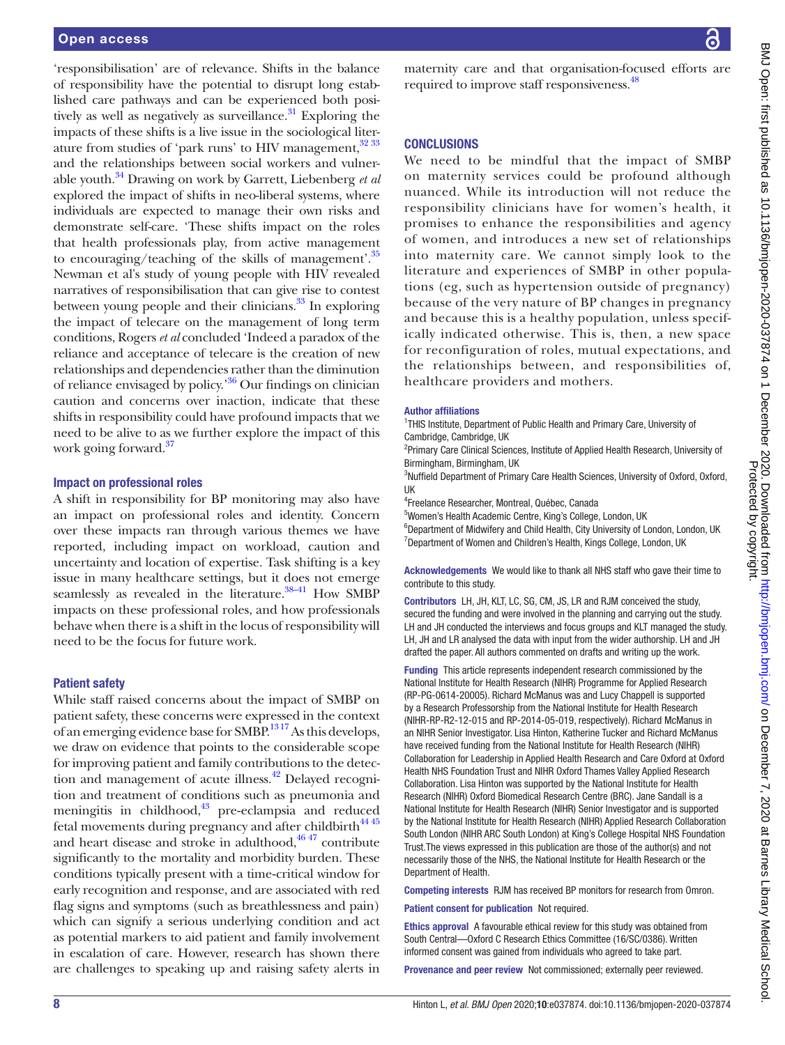'responsibilisation' are of relevance. Shifts in the balance of responsibility have the potential to disrupt long established care pathways and can be experienced both positively as well as negatively as surveillance. $31$  Exploring the impacts of these shifts is a live issue in the sociological literature from studies of 'park runs' to HIV management,  $32\,33$ and the relationships between social workers and vulnerable youth[.34](#page-9-24) Drawing on work by Garrett, Liebenberg *et al* explored the impact of shifts in neo-liberal systems, where individuals are expected to manage their own risks and demonstrate self-care. 'These shifts impact on the roles that health professionals play, from active management to encouraging/teaching of the skills of management'.[35](#page-9-25) Newman et al's study of young people with HIV revealed narratives of responsibilisation that can give rise to contest between young people and their clinicians. $33$  In exploring the impact of telecare on the management of long term conditions, Rogers *et al* concluded 'Indeed a paradox of the reliance and acceptance of telecare is the creation of new relationships and dependencies rather than the diminution of reliance envisaged by policy.'[36](#page-9-27) Our findings on clinician caution and concerns over inaction, indicate that these shifts in responsibility could have profound impacts that we need to be alive to as we further explore the impact of this work going forward.<sup>37</sup>

#### Impact on professional roles

A shift in responsibility for BP monitoring may also have an impact on professional roles and identity. Concern over these impacts ran through various themes we have reported, including impact on workload, caution and uncertainty and location of expertise. Task shifting is a key issue in many healthcare settings, but it does not emerge seamlessly as revealed in the literature.<sup>38–41</sup> How SMBP impacts on these professional roles, and how professionals behave when there is a shift in the locus of responsibility will need to be the focus for future work.

#### Patient safety

While staff raised concerns about the impact of SMBP on patient safety, these concerns were expressed in the context of an emerging evidence base for SMBP.<sup>1317</sup> As this develops, we draw on evidence that points to the considerable scope for improving patient and family contributions to the detection and management of acute illness.<sup>42</sup> Delayed recognition and treatment of conditions such as pneumonia and meningitis in childhood,<sup>43</sup> pre-eclampsia and reduced fetal movements during pregnancy and after childbirth<sup>44 45</sup> and heart disease and stroke in adulthood, $4647$  contribute significantly to the mortality and morbidity burden. These conditions typically present with a time‐critical window for early recognition and response, and are associated with red flag signs and symptoms (such as breathlessness and pain) which can signify a serious underlying condition and act as potential markers to aid patient and family involvement in escalation of care. However, research has shown there are challenges to speaking up and raising safety alerts in

maternity care and that organisation-focused efforts are required to improve staff responsiveness.<sup>48</sup>

#### **CONCLUSIONS**

We need to be mindful that the impact of SMBP on maternity services could be profound although nuanced. While its introduction will not reduce the responsibility clinicians have for women's health, it promises to enhance the responsibilities and agency of women, and introduces a new set of relationships into maternity care. We cannot simply look to the literature and experiences of SMBP in other populations (eg, such as hypertension outside of pregnancy) because of the very nature of BP changes in pregnancy and because this is a healthy population, unless specifically indicated otherwise. This is, then, a new space for reconfiguration of roles, mutual expectations, and the relationships between, and responsibilities of, healthcare providers and mothers.

#### Author affiliations

<sup>1</sup>THIS Institute, Department of Public Health and Primary Care, University of Cambridge, Cambridge, UK

<sup>2</sup>Primary Care Clinical Sciences, Institute of Applied Health Research, University of Birmingham, Birmingham, UK

<sup>3</sup>Nuffield Department of Primary Care Health Sciences, University of Oxford, Oxford, UK

4 Freelance Researcher, Montreal, Québec, Canada

5 Women's Health Academic Centre, King's College, London, UK

<sup>6</sup>Department of Midwifery and Child Health, City University of London, London, UK <sup>7</sup>Department of Women and Children's Health, Kings College, London, UK

Acknowledgements We would like to thank all NHS staff who gave their time to contribute to this study.

Contributors LH, JH, KLT, LC, SG, CM, JS, LR and RJM conceived the study, secured the funding and were involved in the planning and carrying out the study. LH and JH conducted the interviews and focus groups and KLT managed the study. LH, JH and LR analysed the data with input from the wider authorship. LH and JH drafted the paper. All authors commented on drafts and writing up the work.

Funding This article represents independent research commissioned by the National Institute for Health Research (NIHR) Programme for Applied Research (RP-PG-0614-20005). Richard McManus was and Lucy Chappell is supported by a Research Professorship from the National Institute for Health Research (NIHR-RP-R2-12-015 and RP-2014-05-019, respectively). Richard McManus in an NIHR Senior Investigator. Lisa Hinton, Katherine Tucker and Richard McManus have received funding from the National Institute for Health Research (NIHR) Collaboration for Leadership in Applied Health Research and Care Oxford at Oxford Health NHS Foundation Trust and NIHR Oxford Thames Valley Applied Research Collaboration. Lisa Hinton was supported by the National Institute for Health Research (NIHR) Oxford Biomedical Research Centre (BRC). Jane Sandall is a National Institute for Health Research (NIHR) Senior Investigator and is supported by the National Institute for Health Research (NIHR) Applied Research Collaboration South London (NIHR ARC South London) at King's College Hospital NHS Foundation Trust.The views expressed in this publication are those of the author(s) and not necessarily those of the NHS, the National Institute for Health Research or the Department of Health.

Competing interests RJM has received BP monitors for research from Omron.

Patient consent for publication Not required.

Ethics approval A favourable ethical review for this study was obtained from South Central—Oxford C Research Ethics Committee (16/SC/0386). Written informed consent was gained from individuals who agreed to take part.

Provenance and peer review Not commissioned; externally peer reviewed.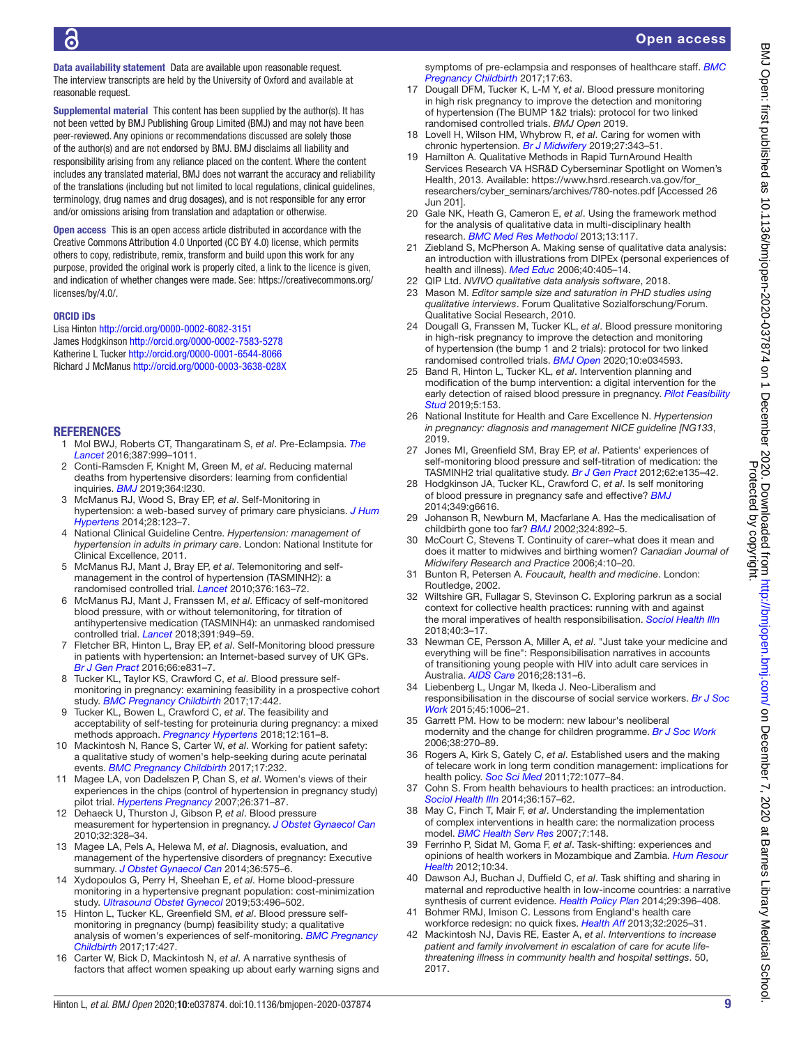Data availability statement Data are available upon reasonable request. The interview transcripts are held by the University of Oxford and available at reasonable request.

Supplemental material This content has been supplied by the author(s). It has not been vetted by BMJ Publishing Group Limited (BMJ) and may not have been peer-reviewed. Any opinions or recommendations discussed are solely those of the author(s) and are not endorsed by BMJ. BMJ disclaims all liability and responsibility arising from any reliance placed on the content. Where the content includes any translated material, BMJ does not warrant the accuracy and reliability of the translations (including but not limited to local regulations, clinical guidelines, terminology, drug names and drug dosages), and is not responsible for any error and/or omissions arising from translation and adaptation or otherwise.

Open access This is an open access article distributed in accordance with the Creative Commons Attribution 4.0 Unported (CC BY 4.0) license, which permits others to copy, redistribute, remix, transform and build upon this work for any purpose, provided the original work is properly cited, a link to the licence is given, and indication of whether changes were made. See: [https://creativecommons.org/](https://creativecommons.org/licenses/by/4.0/) [licenses/by/4.0/.](https://creativecommons.org/licenses/by/4.0/)

#### ORCID iDs

Lisa Hinton<http://orcid.org/0000-0002-6082-3151> James Hodgkinson <http://orcid.org/0000-0002-7583-5278> Katherine L Tucker <http://orcid.org/0000-0001-6544-8066> Richard J McManus<http://orcid.org/0000-0003-3638-028X>

#### **REFERENCES**

- <span id="page-9-0"></span>1 Mol BWJ, Roberts CT, Thangaratinam S, *et al*. Pre-Eclampsia. *[The](http://dx.doi.org/10.1016/S0140-6736(15)00070-7)  [Lancet](http://dx.doi.org/10.1016/S0140-6736(15)00070-7)* 2016;387:999–1011.
- 2 Conti-Ramsden F, Knight M, Green M, *et al*. Reducing maternal deaths from hypertensive disorders: learning from confidential inquiries. *[BMJ](http://dx.doi.org/10.1136/bmj.l230)* 2019;364:l230.
- <span id="page-9-1"></span>3 McManus RJ, Wood S, Bray EP, *et al*. Self-Monitoring in hypertension: a web-based survey of primary care physicians. *[J Hum](http://dx.doi.org/10.1038/jhh.2013.54) [Hypertens](http://dx.doi.org/10.1038/jhh.2013.54)* 2014;28:123–7.
- <span id="page-9-2"></span>4 National Clinical Guideline Centre. *Hypertension: management of hypertension in adults in primary care*. London: National Institute for Clinical Excellence, 2011.
- 5 McManus RJ, Mant J, Bray EP, *et al*. Telemonitoring and selfmanagement in the control of hypertension (TASMINH2): a randomised controlled trial. *[Lancet](http://dx.doi.org/10.1016/S0140-6736(10)60964-6)* 2010;376:163–72.
- 6 McManus RJ, Mant J, Franssen M, *et al*. Efficacy of self-monitored blood pressure, with or without telemonitoring, for titration of antihypertensive medication (TASMINH4): an unmasked randomised controlled trial. *[Lancet](http://dx.doi.org/10.1016/S0140-6736(18)30309-X)* 2018;391:949–59.
- 7 Fletcher BR, Hinton L, Bray EP, *et al*. Self-Monitoring blood pressure in patients with hypertension: an Internet-based survey of UK GPs. *[Br J Gen Pract](http://dx.doi.org/10.3399/bjgp16X687037)* 2016;66:e831–7.
- <span id="page-9-3"></span>8 Tucker KL, Taylor KS, Crawford C, *et al*. Blood pressure selfmonitoring in pregnancy: examining feasibility in a prospective cohort study. *[BMC Pregnancy Childbirth](http://dx.doi.org/10.1186/s12884-017-1605-0)* 2017;17:442.
- 9 Tucker KL, Bowen L, Crawford C, *et al*. The feasibility and acceptability of self-testing for proteinuria during pregnancy: a mixed methods approach. *[Pregnancy Hypertens](http://dx.doi.org/10.1016/j.preghy.2017.11.009)* 2018;12:161–8.
- <span id="page-9-9"></span>10 Mackintosh N, Rance S, Carter W, *et al*. Working for patient safety: a qualitative study of women's help-seeking during acute perinatal events. *[BMC Pregnancy Childbirth](http://dx.doi.org/10.1186/s12884-017-1401-x)* 2017;17:232.
- <span id="page-9-4"></span>11 Magee LA, von Dadelszen P, Chan S, *et al*. Women's views of their experiences in the chips (control of hypertension in pregnancy study) pilot trial. *[Hypertens Pregnancy](http://dx.doi.org/10.1080/10641950701547549)* 2007;26:371–87.
- <span id="page-9-5"></span>12 Dehaeck U, Thurston J, Gibson P, *et al*. Blood pressure measurement for hypertension in pregnancy. *[J Obstet Gynaecol Can](http://dx.doi.org/10.1016/S1701-2163(16)34476-0)* 2010;32:328–34.
- <span id="page-9-6"></span>13 Magee LA, Pels A, Helewa M, *et al*. Diagnosis, evaluation, and management of the hypertensive disorders of pregnancy: Executive summary. *[J Obstet Gynaecol Can](http://dx.doi.org/10.1016/S1701-2163(15)30533-8)* 2014;36:575–6.
- <span id="page-9-7"></span>14 Xydopoulos G, Perry H, Sheehan E, *et al*. Home blood-pressure monitoring in a hypertensive pregnant population: cost-minimization study. *[Ultrasound Obstet Gynecol](http://dx.doi.org/10.1002/uog.19041)* 2019;53:496–502.
- <span id="page-9-8"></span>15 Hinton L, Tucker KL, Greenfield SM, *et al*. Blood pressure selfmonitoring in pregnancy (bump) feasibility study; a qualitative analysis of women's experiences of self-monitoring. *[BMC Pregnancy](http://dx.doi.org/10.1186/s12884-017-1592-1)  [Childbirth](http://dx.doi.org/10.1186/s12884-017-1592-1)* 2017;17:427.
- 16 Carter W, Bick D, Mackintosh N, *et al*. A narrative synthesis of factors that affect women speaking up about early warning signs and

symptoms of pre-eclampsia and responses of healthcare staff. *[BMC](http://dx.doi.org/10.1186/s12884-017-1245-4)  [Pregnancy Childbirth](http://dx.doi.org/10.1186/s12884-017-1245-4)* 2017;17:63.

- 17 Dougall DFM, Tucker K, L-M Y, *et al*. Blood pressure monitoring in high risk pregnancy to improve the detection and monitoring of hypertension (The BUMP 1&2 trials): protocol for two linked randomised controlled trials. *BMJ Open* 2019.
- <span id="page-9-10"></span>18 Lovell H, Wilson HM, Whybrow R, *et al*. Caring for women with chronic hypertension. *[Br J Midwifery](http://dx.doi.org/10.12968/bjom.2019.27.6.343)* 2019;27:343–51.
- <span id="page-9-11"></span>19 Hamilton A. Qualitative Methods in Rapid TurnAround Health Services Research VA HSR&D Cyberseminar Spotlight on Women's Health, 2013. Available: [https://www.hsrd.research.va.gov/for\\_](https://www.hsrd.research.va.gov/for_researchers/cyber_seminars/archives/780-notes.pdf) [researchers/cyber\\_seminars/archives/780-notes.pdf](https://www.hsrd.research.va.gov/for_researchers/cyber_seminars/archives/780-notes.pdf) [Accessed 26 Jun 201].
- <span id="page-9-12"></span>20 Gale NK, Heath G, Cameron E, *et al*. Using the framework method for the analysis of qualitative data in multi-disciplinary health research. *[BMC Med Res Methodol](http://dx.doi.org/10.1186/1471-2288-13-117)* 2013;13:117.
- <span id="page-9-13"></span>21 Ziebland S, McPherson A. Making sense of qualitative data analysis: an introduction with illustrations from DIPEx (personal experiences of health and illness). *[Med Educ](http://dx.doi.org/10.1111/j.1365-2929.2006.02467.x)* 2006;40:405–14.
- 22 QIP Ltd. *NVIVO qualitative data analysis software*, 2018.
- <span id="page-9-14"></span>23 Mason M. *Editor sample size and saturation in PHD studies using qualitative interviews*. Forum Qualitative Sozialforschung/Forum. Qualitative Social Research, 2010.
- <span id="page-9-15"></span>24 Dougall G, Franssen M, Tucker KL, *et al*. Blood pressure monitoring in high-risk pregnancy to improve the detection and monitoring of hypertension (the bump 1 and 2 trials): protocol for two linked randomised controlled trials. *[BMJ Open](http://dx.doi.org/10.1136/bmjopen-2019-034593)* 2020;10:e034593.
- <span id="page-9-16"></span>25 Band R, Hinton L, Tucker KL, *et al*. Intervention planning and modification of the bump intervention: a digital intervention for the early detection of raised blood pressure in pregnancy. *[Pilot Feasibility](http://dx.doi.org/10.1186/s40814-019-0537-z)  [Stud](http://dx.doi.org/10.1186/s40814-019-0537-z)* 2019;5:153.
- <span id="page-9-17"></span>26 National Institute for Health and Care Excellence N. *Hypertension in pregnancy: diagnosis and management NICE guideline [NG133*, 2019.
- <span id="page-9-18"></span>27 Jones MI, Greenfield SM, Bray EP, *et al*. Patients' experiences of self-monitoring blood pressure and self-titration of medication: the TASMINH2 trial qualitative study. *[Br J Gen Pract](http://dx.doi.org/10.3399/bjgp12X625201)* 2012;62:e135–42.
- <span id="page-9-19"></span>28 Hodgkinson JA, Tucker KL, Crawford C, *et al*. Is self monitoring of blood pressure in pregnancy safe and effective? *[BMJ](http://dx.doi.org/10.1136/bmj.g6616)* 2014;349:g6616.
- <span id="page-9-20"></span>29 Johanson R, Newburn M, Macfarlane A. Has the medicalisation of childbirth gone too far? *[BMJ](http://dx.doi.org/10.1136/bmj.324.7342.892)* 2002;324:892–5.
- <span id="page-9-21"></span>30 McCourt C, Stevens T. Continuity of carer–what does it mean and does it matter to midwives and birthing women? *Canadian Journal of Midwifery Research and Practice* 2006;4:10–20.
- <span id="page-9-22"></span>31 Bunton R, Petersen A. *Foucault, health and medicine*. London: Routledge, 2002.
- <span id="page-9-23"></span>32 Wiltshire GR, Fullagar S, Stevinson C. Exploring parkrun as a social context for collective health practices: running with and against the moral imperatives of health responsibilisation. *[Sociol Health Illn](http://dx.doi.org/10.1111/1467-9566.12622)* 2018;40:3–17.
- <span id="page-9-26"></span>33 Newman CE, Persson A, Miller A, *et al*. "Just take your medicine and everything will be fine": Responsibilisation narratives in accounts of transitioning young people with HIV into adult care services in Australia. *[AIDS Care](http://dx.doi.org/10.1080/09540121.2015.1069790)* 2016;28:131–6.
- <span id="page-9-24"></span>34 Liebenberg L, Ungar M, Ikeda J. Neo-Liberalism and responsibilisation in the discourse of social service workers. *[Br J Soc](http://dx.doi.org/10.1093/bjsw/bct172)  [Work](http://dx.doi.org/10.1093/bjsw/bct172)* 2015;45:1006–21.
- <span id="page-9-25"></span>35 Garrett PM. How to be modern: new labour's neoliberal modernity and the change for children programme. *[Br J Soc Work](http://dx.doi.org/10.1093/bjsw/bcl345)* 2006;38:270–89.
- <span id="page-9-27"></span>36 Rogers A, Kirk S, Gately C, *et al*. Established users and the making of telecare work in long term condition management: implications for health policy. *[Soc Sci Med](http://dx.doi.org/10.1016/j.socscimed.2011.01.031)* 2011;72:1077–84.
- <span id="page-9-28"></span>37 Cohn S. From health behaviours to health practices: an introduction. *[Sociol Health Illn](http://dx.doi.org/10.1111/1467-9566.12140)* 2014;36:157–62.
- <span id="page-9-29"></span>38 May C, Finch T, Mair F, *et al*. Understanding the implementation of complex interventions in health care: the normalization process model. *[BMC Health Serv Res](http://dx.doi.org/10.1186/1472-6963-7-148)* 2007;7:148.
- 39 Ferrinho P, Sidat M, Goma F, *et al*. Task-shifting: experiences and opinions of health workers in Mozambique and Zambia. *[Hum Resour](http://dx.doi.org/10.1186/1478-4491-10-34)  [Health](http://dx.doi.org/10.1186/1478-4491-10-34)* 2012;10:34.
- 40 Dawson AJ, Buchan J, Duffield C, *et al*. Task shifting and sharing in maternal and reproductive health in low-income countries: a narrative synthesis of current evidence. *[Health Policy Plan](http://dx.doi.org/10.1093/heapol/czt026)* 2014;29:396–408.
- Bohmer RMJ, Imison C. Lessons from England's health care workforce redesign: no quick fixes. *[Health Aff](http://dx.doi.org/10.1377/hlthaff.2013.0553)* 2013;32:2025–31.
- <span id="page-9-30"></span>42 Mackintosh NJ, Davis RE, Easter A, *et al*. *[Interventions to increase](http://dx.doi.org/10.1002/14651858.CD012829)  [patient and family involvement in escalation of care for acute life](http://dx.doi.org/10.1002/14651858.CD012829)[threatening illness in community health and hospital settings](http://dx.doi.org/10.1002/14651858.CD012829)*. 50, 2017.